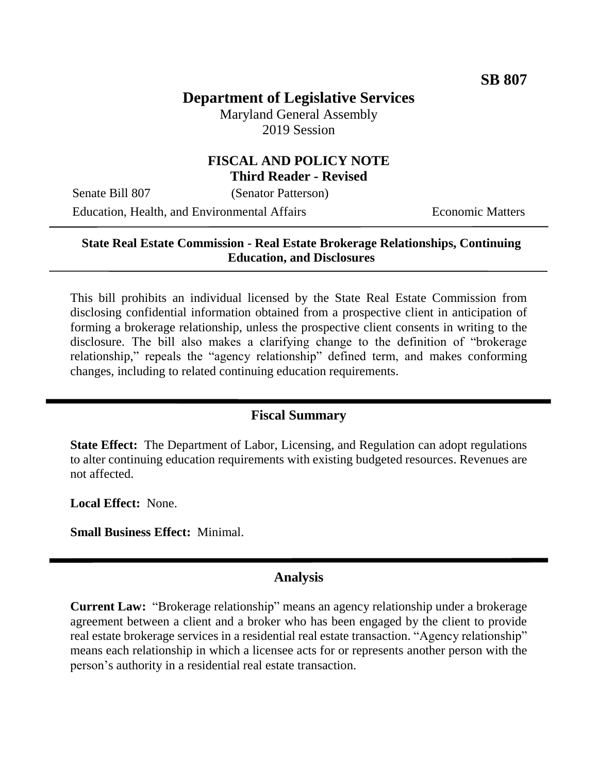# **Department of Legislative Services**

Maryland General Assembly 2019 Session

### **FISCAL AND POLICY NOTE Third Reader - Revised**

Senate Bill 807 (Senator Patterson)

Education, Health, and Environmental Affairs **Economic Matters** 

### **State Real Estate Commission - Real Estate Brokerage Relationships, Continuing Education, and Disclosures**

This bill prohibits an individual licensed by the State Real Estate Commission from disclosing confidential information obtained from a prospective client in anticipation of forming a brokerage relationship, unless the prospective client consents in writing to the disclosure. The bill also makes a clarifying change to the definition of "brokerage relationship," repeals the "agency relationship" defined term, and makes conforming changes, including to related continuing education requirements.

#### **Fiscal Summary**

**State Effect:** The Department of Labor, Licensing, and Regulation can adopt regulations to alter continuing education requirements with existing budgeted resources. Revenues are not affected.

**Local Effect:** None.

**Small Business Effect:** Minimal.

#### **Analysis**

**Current Law:** "Brokerage relationship" means an agency relationship under a brokerage agreement between a client and a broker who has been engaged by the client to provide real estate brokerage services in a residential real estate transaction. "Agency relationship" means each relationship in which a licensee acts for or represents another person with the person's authority in a residential real estate transaction.